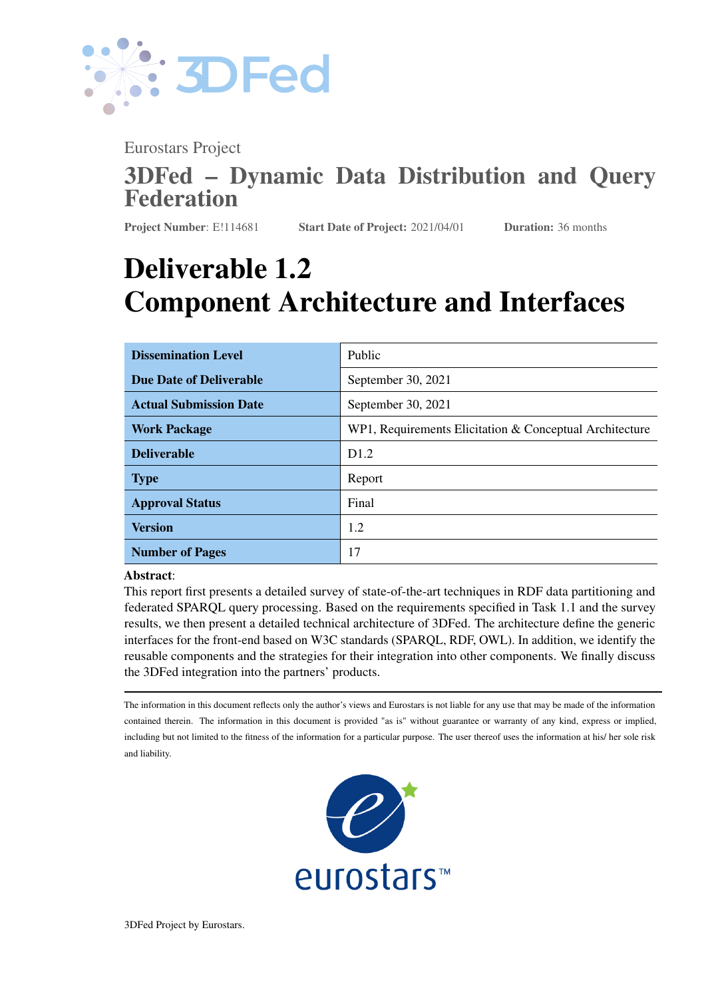

Eurostars Project

# 3DFed – Dynamic Data Distribution and Query Federation

Project Number: E!114681 Start Date of Project: 2021/04/01 Duration: 36 months

# Deliverable 1.2 Component Architecture and Interfaces

| <b>Dissemination Level</b>     | Public                                                  |
|--------------------------------|---------------------------------------------------------|
| <b>Due Date of Deliverable</b> | September 30, 2021                                      |
| <b>Actual Submission Date</b>  | September 30, 2021                                      |
| <b>Work Package</b>            | WP1, Requirements Elicitation & Conceptual Architecture |
| <b>Deliverable</b>             | D <sub>1.2</sub>                                        |
| <b>Type</b>                    | Report                                                  |
| <b>Approval Status</b>         | Final                                                   |
| <b>Version</b>                 | 1.2                                                     |
| <b>Number of Pages</b>         | 17                                                      |

#### Abstract:

This report first presents a detailed survey of state-of-the-art techniques in RDF data partitioning and federated SPARQL query processing. Based on the requirements specified in Task 1.1 and the survey results, we then present a detailed technical architecture of 3DFed. The architecture define the generic interfaces for the front-end based on W3C standards (SPARQL, RDF, OWL). In addition, we identify the reusable components and the strategies for their integration into other components. We finally discuss the 3DFed integration into the partners' products.

The information in this document reflects only the author's views and Eurostars is not liable for any use that may be made of the information contained therein. The information in this document is provided "as is" without guarantee or warranty of any kind, express or implied, including but not limited to the fitness of the information for a particular purpose. The user thereof uses the information at his/ her sole risk and liability.



3DFed Project by Eurostars.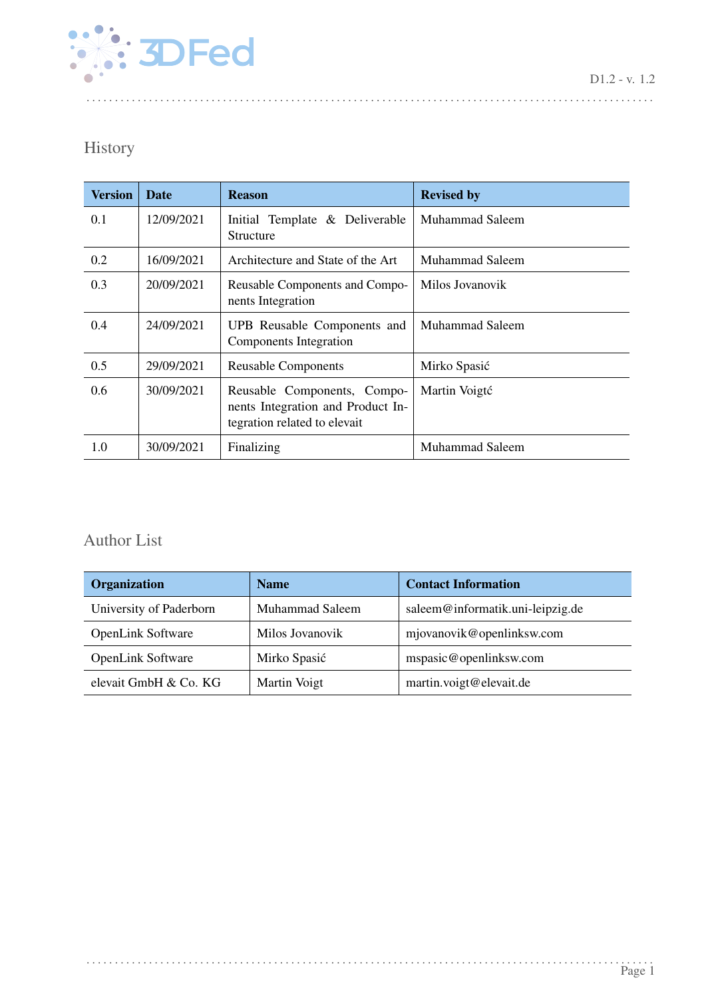

# History

| <b>Version</b> | <b>Date</b> | <b>Reason</b>                                                                                    | <b>Revised by</b>      |
|----------------|-------------|--------------------------------------------------------------------------------------------------|------------------------|
| 0.1            | 12/09/2021  | Initial Template & Deliverable<br>Structure                                                      | Muhammad Saleem        |
| 0.2            | 16/09/2021  | Architecture and State of the Art                                                                | Muhammad Saleem        |
| 0.3            | 20/09/2021  | Reusable Components and Compo-<br>nents Integration                                              | Milos Jovanovik        |
| 0.4            | 24/09/2021  | UPB Reusable Components and<br>Components Integration                                            | <b>Muhammad Saleem</b> |
| 0.5            | 29/09/2021  | <b>Reusable Components</b>                                                                       | Mirko Spasić           |
| 0.6            | 30/09/2021  | Reusable Components, Compo-<br>nents Integration and Product In-<br>tegration related to elevait | Martin Voigté          |
| 1.0            | 30/09/2021  | Finalizing                                                                                       | Muhammad Saleem        |

. . . . . . . . . . . . . . . . . . . . . . . . . . . . . . . . . . . . . . . . . . . . . . . . . . . . . . . . . . . . . . . . . . . . . . . . . . . . . . . . . . . . . . . . . . . . . . . . . . . .

# Author List

| Organization             | <b>Name</b>     | <b>Contact Information</b>       |
|--------------------------|-----------------|----------------------------------|
| University of Paderborn  | Muhammad Saleem | saleem@informatik.uni-leipzig.de |
| <b>OpenLink Software</b> | Milos Jovanovik | mjovanovik@openlinksw.com        |
| <b>OpenLink Software</b> | Mirko Spasić    | mspasic@openlinksw.com           |
| elevait GmbH & Co. KG    | Martin Voigt    | martin.voigt@elevait.de          |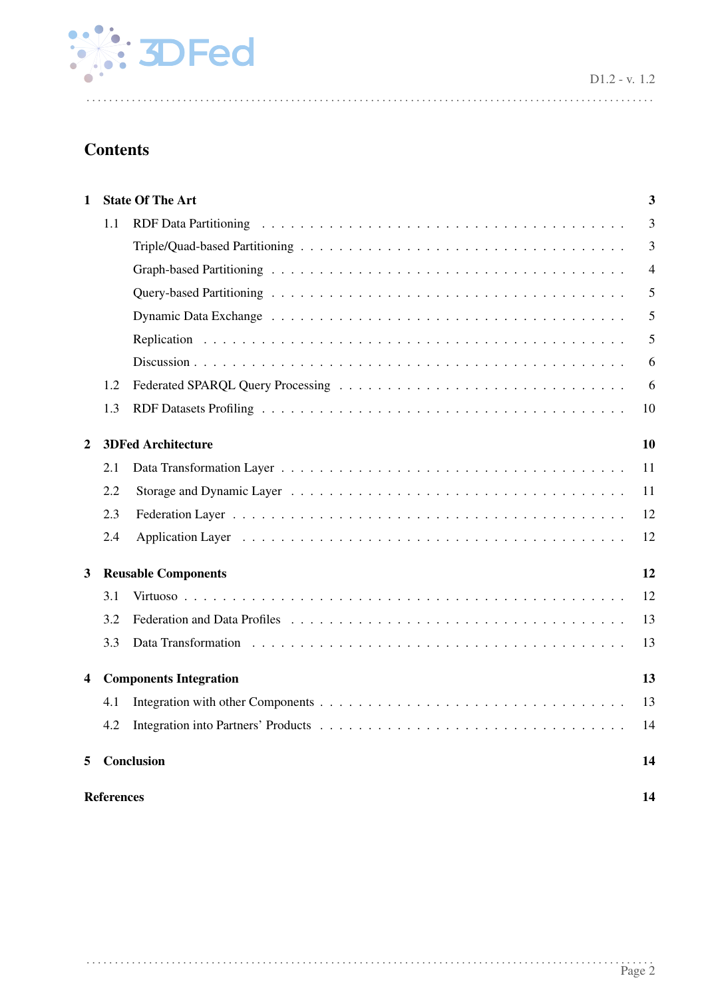

D1.2 - v. 1.2

# **Contents**

| 1 |                   | <b>State Of The Art</b>       | 3              |  |  |  |  |
|---|-------------------|-------------------------------|----------------|--|--|--|--|
|   | 1.1               |                               | 3              |  |  |  |  |
|   |                   |                               | 3              |  |  |  |  |
|   |                   |                               | $\overline{4}$ |  |  |  |  |
|   |                   |                               | 5              |  |  |  |  |
|   |                   |                               | 5              |  |  |  |  |
|   |                   |                               | 5              |  |  |  |  |
|   |                   |                               | 6              |  |  |  |  |
|   | 1.2               |                               | 6              |  |  |  |  |
|   | 1.3               |                               | 10             |  |  |  |  |
| 2 |                   | <b>3DFed Architecture</b>     | 10             |  |  |  |  |
|   | 2.1               |                               | 11             |  |  |  |  |
|   | 2.2               |                               | 11             |  |  |  |  |
|   | 2.3               |                               | 12             |  |  |  |  |
|   | 2.4               |                               | 12             |  |  |  |  |
| 3 |                   | <b>Reusable Components</b>    | 12             |  |  |  |  |
|   | 3.1               |                               | 12             |  |  |  |  |
|   | 3.2               |                               | 13             |  |  |  |  |
|   | 3.3               |                               | 13             |  |  |  |  |
| 4 |                   | <b>Components Integration</b> | 13             |  |  |  |  |
|   | 4.1               |                               | 13             |  |  |  |  |
|   | 4.2               |                               | 14             |  |  |  |  |
| 5 |                   | Conclusion                    | 14             |  |  |  |  |
|   | <b>References</b> |                               |                |  |  |  |  |

. . . . . . . . . . . . . . . . . . . . . . . . . . . . . . . . . . . . . . . . . . . . . . . . . . . . . . . . . . . . . . . . . . . . . . . . . . . . . . . . . . . . . . . . . . . . . . . . . . . .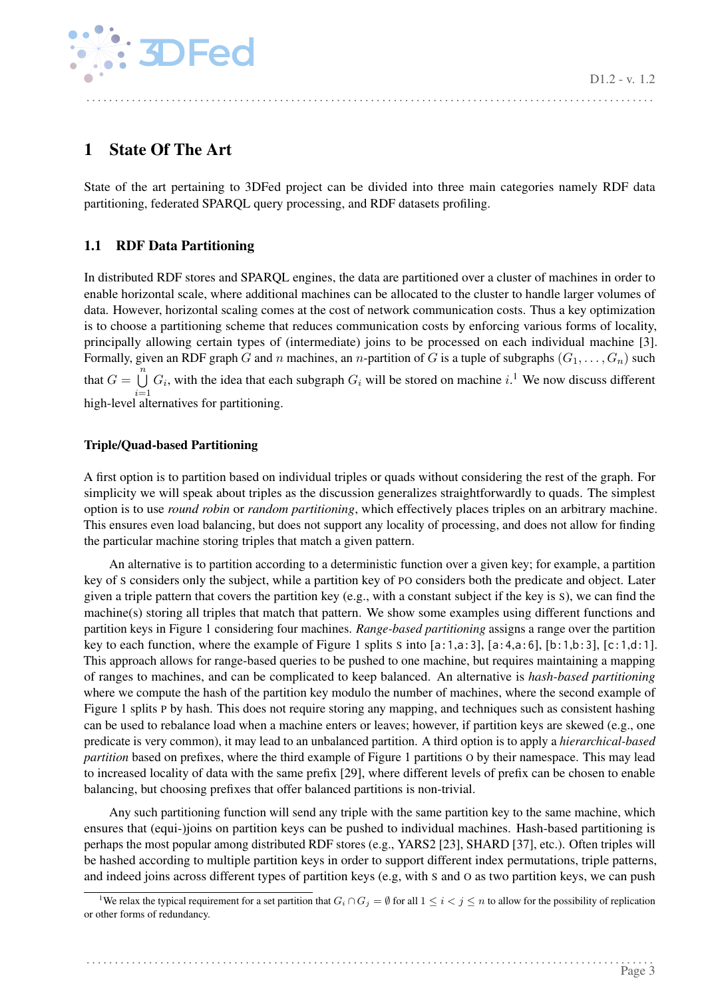D1.2 - v. 1.2

. . . . . . . . . . . . . . . . . . . . . . . . . . . . . . . . . . . . . . . . . . . . . . . . . . . . . . . . . . . . . . . . . . . . . . . . . . . . . . . . . . . . . . . . . . . . . . . . . . . .



## <span id="page-3-0"></span>1 State Of The Art

State of the art pertaining to 3DFed project can be divided into three main categories namely RDF data partitioning, federated SPARQL query processing, and RDF datasets profiling.

## <span id="page-3-1"></span>1.1 RDF Data Partitioning

In distributed RDF stores and SPARQL engines, the data are partitioned over a cluster of machines in order to enable horizontal scale, where additional machines can be allocated to the cluster to handle larger volumes of data. However, horizontal scaling comes at the cost of network communication costs. Thus a key optimization is to choose a partitioning scheme that reduces communication costs by enforcing various forms of locality, principally allowing certain types of (intermediate) joins to be processed on each individual machine [\[3\]](#page-14-2). Formally, given an RDF graph G and n machines, an n-partition of G is a tuple of subgraphs  $(G_1, \ldots, G_n)$  such that  $G = \bigcup_{i=1}^{n} G_i$  $G = \bigcup_{i=1}^{n} G_i$  $G = \bigcup_{i=1}^{n} G_i$ , with the idea that each subgraph  $G_i$  will be stored on machine i.<sup>1</sup> We now discuss different  $i=1$ <br>high-level alternatives for partitioning.

## <span id="page-3-2"></span>Triple/Quad-based Partitioning

A first option is to partition based on individual triples or quads without considering the rest of the graph. For simplicity we will speak about triples as the discussion generalizes straightforwardly to quads. The simplest option is to use *round robin* or *random partitioning*, which effectively places triples on an arbitrary machine. This ensures even load balancing, but does not support any locality of processing, and does not allow for finding the particular machine storing triples that match a given pattern.

An alternative is to partition according to a deterministic function over a given key; for example, a partition key of S considers only the subject, while a partition key of PO considers both the predicate and object. Later given a triple pattern that covers the partition key (e.g., with a constant subject if the key is S), we can find the machine(s) storing all triples that match that pattern. We show some examples using different functions and partition keys in Figure [1](#page-4-1) considering four machines. *Range-based partitioning* assigns a range over the partition key to each function, where the example of Figure [1](#page-4-1) splits S into [a:1,a:3], [a:4,a:6], [b:1,b:3], [c:1,d:1]. This approach allows for range-based queries to be pushed to one machine, but requires maintaining a mapping of ranges to machines, and can be complicated to keep balanced. An alternative is *hash-based partitioning* where we compute the hash of the partition key modulo the number of machines, where the second example of Figure [1](#page-4-1) splits P by hash. This does not require storing any mapping, and techniques such as consistent hashing can be used to rebalance load when a machine enters or leaves; however, if partition keys are skewed (e.g., one predicate is very common), it may lead to an unbalanced partition. A third option is to apply a *hierarchical-based partition* based on prefixes, where the third example of Figure [1](#page-4-1) partitions O by their namespace. This may lead to increased locality of data with the same prefix [\[29\]](#page-16-0), where different levels of prefix can be chosen to enable balancing, but choosing prefixes that offer balanced partitions is non-trivial.

Any such partitioning function will send any triple with the same partition key to the same machine, which ensures that (equi-)joins on partition keys can be pushed to individual machines. Hash-based partitioning is perhaps the most popular among distributed RDF stores (e.g., YARS2 [\[23\]](#page-16-1), SHARD [\[37\]](#page-17-1), etc.). Often triples will be hashed according to multiple partition keys in order to support different index permutations, triple patterns, and indeed joins across different types of partition keys (e.g, with S and O as two partition keys, we can push

<span id="page-3-3"></span><sup>&</sup>lt;sup>1</sup>We relax the typical requirement for a set partition that  $G_i \cap G_j = \emptyset$  for all  $1 \leq i \leq j \leq n$  to allow for the possibility of replication or other forms of redundancy.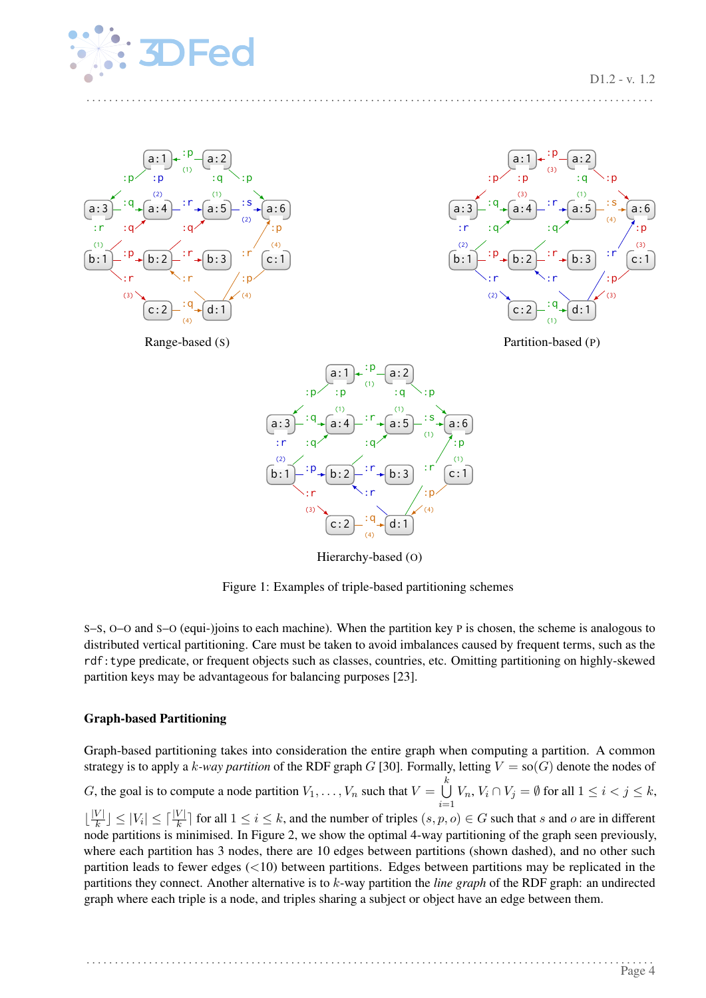

<span id="page-4-1"></span>





Partition-based (P)



Hierarchy-based (O)

Figure 1: Examples of triple-based partitioning schemes

S–S, O–O and S–O (equi-)joins to each machine). When the partition key P is chosen, the scheme is analogous to distributed vertical partitioning. Care must be taken to avoid imbalances caused by frequent terms, such as the rdf:type predicate, or frequent objects such as classes, countries, etc. Omitting partitioning on highly-skewed partition keys may be advantageous for balancing purposes [\[23\]](#page-16-1).

#### <span id="page-4-0"></span>Graph-based Partitioning

Graph-based partitioning takes into consideration the entire graph when computing a partition. A common strategy is to apply a k-way partition of the RDF graph G [\[30\]](#page-16-2). Formally, letting  $V = so(G)$  denote the nodes of G, the goal is to compute a node partition  $V_1, \ldots, V_n$  such that  $V = \bigcup_{k=1}^{k} V_k$  $i=1$  $V_n$ ,  $V_i \cap V_j = \emptyset$  for all  $1 \leq i < j \leq k$ ,  $\frac{|V|}{k}$  $\frac{|V|}{|k|} \le |V_i| \le |\frac{|V|}{|k|}$  for all  $1 \le i \le k$ , and the number of triples  $(s, p, o) \in G$  such that s and o are in different node partitions is minimised. In Figure [2,](#page-6-2) we show the optimal 4-way partitioning of the graph seen previously, where each partition has 3 nodes, there are 10 edges between partitions (shown dashed), and no other such partition leads to fewer edges  $(<10)$  between partitions. Edges between partitions may be replicated in the partitions they connect. Another alternative is to k-way partition the *line graph* of the RDF graph: an undirected graph where each triple is a node, and triples sharing a subject or object have an edge between them.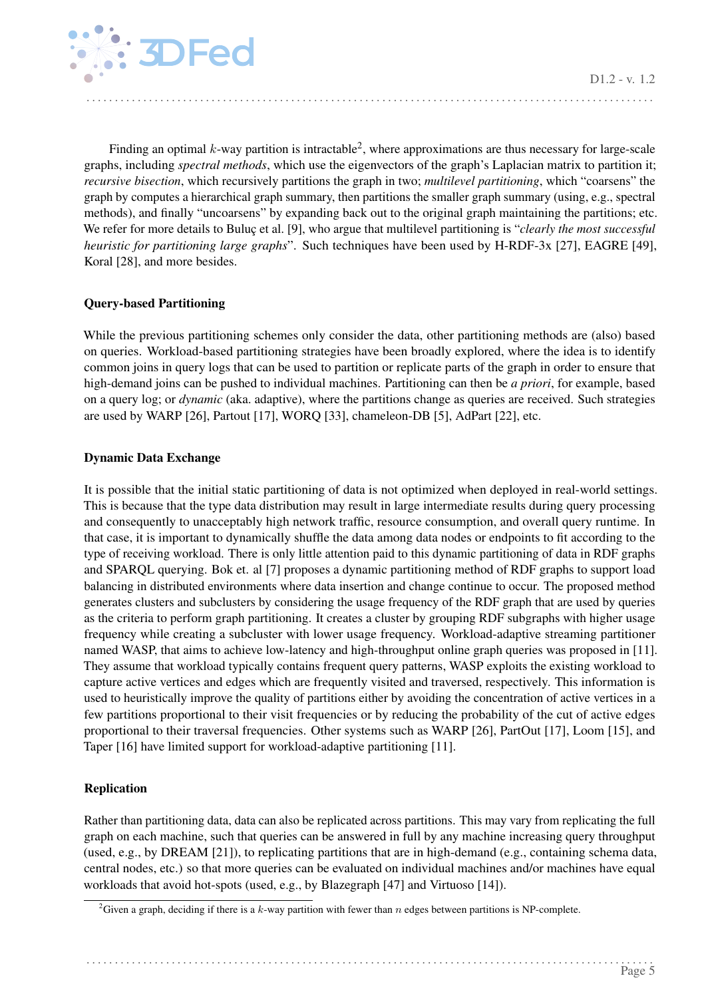

Finding an optimal k-way partition is intractable<sup>[2](#page-5-3)</sup>, where approximations are thus necessary for large-scale graphs, including *spectral methods*, which use the eigenvectors of the graph's Laplacian matrix to partition it; *recursive bisection*, which recursively partitions the graph in two; *multilevel partitioning*, which "coarsens" the graph by computes a hierarchical graph summary, then partitions the smaller graph summary (using, e.g., spectral methods), and finally "uncoarsens" by expanding back out to the original graph maintaining the partitions; etc. We refer for more details to Buluç et al. [\[9\]](#page-15-0), who argue that multilevel partitioning is "*clearly the most successful heuristic for partitioning large graphs*". Such techniques have been used by H-RDF-3x [\[27\]](#page-16-3), EAGRE [\[49\]](#page-17-2), Koral [\[28\]](#page-16-4), and more besides.

. . . . . . . . . . . . . . . . . . . . . . . . . . . . . . . . . . . . . . . . . . . . . . . . . . . . . . . . . . . . . . . . . . . . . . . . . . . . . . . . . . . . . . . . . . . . . . . . . . . .

#### <span id="page-5-0"></span>Query-based Partitioning

While the previous partitioning schemes only consider the data, other partitioning methods are (also) based on queries. Workload-based partitioning strategies have been broadly explored, where the idea is to identify common joins in query logs that can be used to partition or replicate parts of the graph in order to ensure that high-demand joins can be pushed to individual machines. Partitioning can then be *a priori*, for example, based on a query log; or *dynamic* (aka. adaptive), where the partitions change as queries are received. Such strategies are used by WARP [\[26\]](#page-16-5), Partout [\[17\]](#page-15-1), WORQ [\[33\]](#page-16-6), chameleon-DB [\[5\]](#page-15-2), AdPart [\[22\]](#page-16-7), etc.

#### <span id="page-5-1"></span>Dynamic Data Exchange

It is possible that the initial static partitioning of data is not optimized when deployed in real-world settings. This is because that the type data distribution may result in large intermediate results during query processing and consequently to unacceptably high network traffic, resource consumption, and overall query runtime. In that case, it is important to dynamically shuffle the data among data nodes or endpoints to fit according to the type of receiving workload. There is only little attention paid to this dynamic partitioning of data in RDF graphs and SPARQL querying. Bok et. al [\[7\]](#page-15-3) proposes a dynamic partitioning method of RDF graphs to support load balancing in distributed environments where data insertion and change continue to occur. The proposed method generates clusters and subclusters by considering the usage frequency of the RDF graph that are used by queries as the criteria to perform graph partitioning. It creates a cluster by grouping RDF subgraphs with higher usage frequency while creating a subcluster with lower usage frequency. Workload-adaptive streaming partitioner named WASP, that aims to achieve low-latency and high-throughput online graph queries was proposed in [\[11\]](#page-15-4). They assume that workload typically contains frequent query patterns, WASP exploits the existing workload to capture active vertices and edges which are frequently visited and traversed, respectively. This information is used to heuristically improve the quality of partitions either by avoiding the concentration of active vertices in a few partitions proportional to their visit frequencies or by reducing the probability of the cut of active edges proportional to their traversal frequencies. Other systems such as WARP [\[26\]](#page-16-5), PartOut [\[17\]](#page-15-1), Loom [\[15\]](#page-15-5), and Taper [\[16\]](#page-15-6) have limited support for workload-adaptive partitioning [\[11\]](#page-15-4).

#### <span id="page-5-2"></span>Replication

Rather than partitioning data, data can also be replicated across partitions. This may vary from replicating the full graph on each machine, such that queries can be answered in full by any machine increasing query throughput (used, e.g., by DREAM [\[21\]](#page-16-8)), to replicating partitions that are in high-demand (e.g., containing schema data, central nodes, etc.) so that more queries can be evaluated on individual machines and/or machines have equal workloads that avoid hot-spots (used, e.g., by Blazegraph [\[47\]](#page-17-3) and Virtuoso [\[14\]](#page-15-7)).

<span id="page-5-3"></span><sup>&</sup>lt;sup>2</sup>Given a graph, deciding if there is a k-way partition with fewer than n edges between partitions is NP-complete.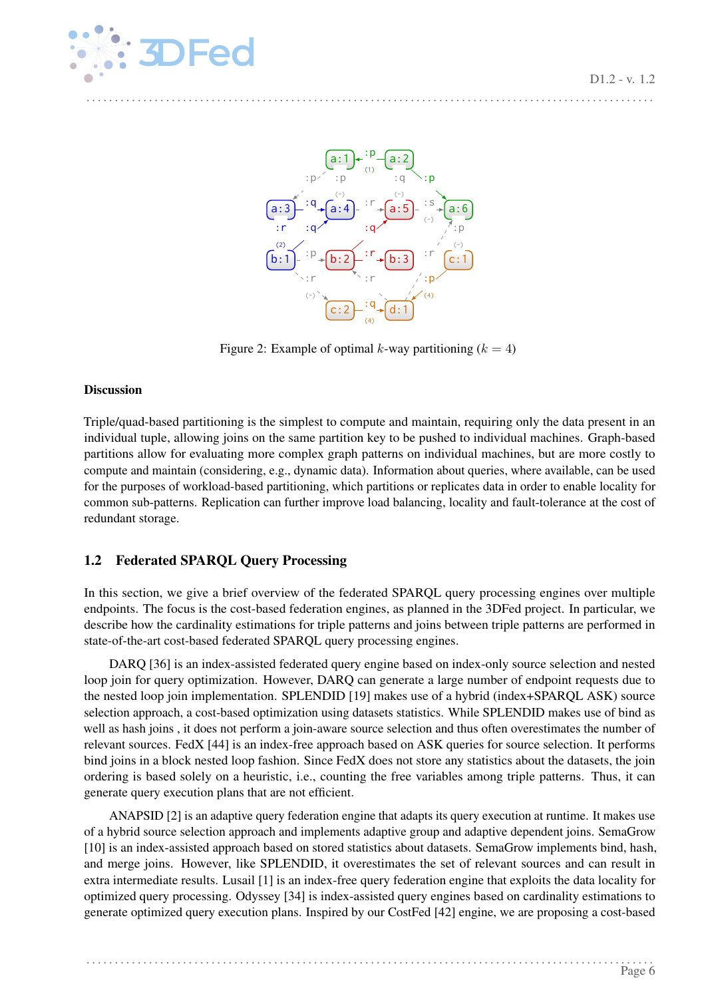<span id="page-6-2"></span>

Figure 2: Example of optimal k-way partitioning  $(k = 4)$ 

#### <span id="page-6-0"></span>Discussion

Triple/quad-based partitioning is the simplest to compute and maintain, requiring only the data present in an individual tuple, allowing joins on the same partition key to be pushed to individual machines. Graph-based partitions allow for evaluating more complex graph patterns on individual machines, but are more costly to compute and maintain (considering, e.g., dynamic data). Information about queries, where available, can be used for the purposes of workload-based partitioning, which partitions or replicates data in order to enable locality for common sub-patterns. Replication can further improve load balancing, locality and fault-tolerance at the cost of redundant storage.

## <span id="page-6-1"></span>1.2 Federated SPARQL Query Processing

In this section, we give a brief overview of the federated SPARQL query processing engines over multiple endpoints. The focus is the cost-based federation engines, as planned in the 3DFed project. In particular, we describe how the cardinality estimations for triple patterns and joins between triple patterns are performed in state-of-the-art cost-based federated SPARQL query processing engines.

DARQ [\[36\]](#page-17-4) is an index-assisted federated query engine based on index-only source selection and nested loop join for query optimization. However, DARQ can generate a large number of endpoint requests due to the nested loop join implementation. SPLENDID [\[19\]](#page-15-8) makes use of a hybrid (index+SPARQL ASK) source selection approach, a cost-based optimization using datasets statistics. While SPLENDID makes use of bind as well as hash joins , it does not perform a join-aware source selection and thus often overestimates the number of relevant sources. FedX [\[44\]](#page-17-5) is an index-free approach based on ASK queries for source selection. It performs bind joins in a block nested loop fashion. Since FedX does not store any statistics about the datasets, the join ordering is based solely on a heuristic, i.e., counting the free variables among triple patterns. Thus, it can generate query execution plans that are not efficient.

ANAPSID [\[2\]](#page-14-3) is an adaptive query federation engine that adapts its query execution at runtime. It makes use of a hybrid source selection approach and implements adaptive group and adaptive dependent joins. SemaGrow [\[10\]](#page-15-9) is an index-assisted approach based on stored statistics about datasets. SemaGrow implements bind, hash, and merge joins. However, like SPLENDID, it overestimates the set of relevant sources and can result in extra intermediate results. Lusail [\[1\]](#page-14-4) is an index-free query federation engine that exploits the data locality for optimized query processing. Odyssey [\[34\]](#page-16-9) is index-assisted query engines based on cardinality estimations to generate optimized query execution plans. Inspired by our CostFed [\[42\]](#page-17-6) engine, we are proposing a cost-based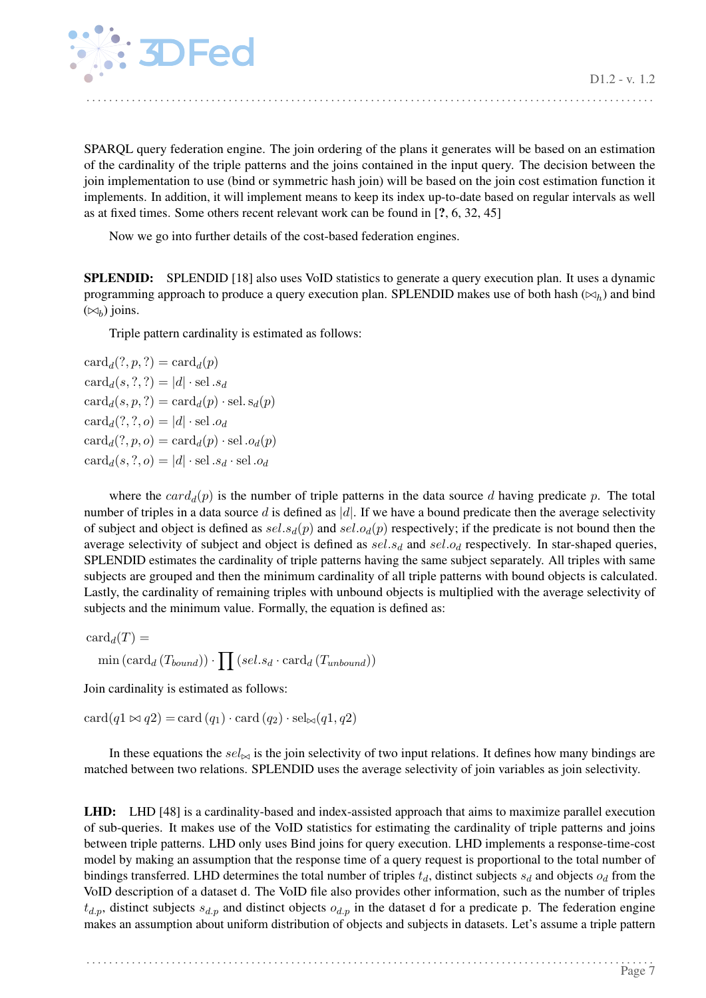

SPARQL query federation engine. The join ordering of the plans it generates will be based on an estimation of the cardinality of the triple patterns and the joins contained in the input query. The decision between the join implementation to use (bind or symmetric hash join) will be based on the join cost estimation function it implements. In addition, it will implement means to keep its index up-to-date based on regular intervals as well as at fixed times. Some others recent relevant work can be found in [?, [6,](#page-15-10) [32,](#page-16-10) [45\]](#page-17-7)

. . . . . . . . . . . . . . . . . . . . . . . . . . . . . . . . . . . . . . . . . . . . . . . . . . . . . . . . . . . . . . . . . . . . . . . . . . . . . . . . . . . . . . . . . . . . . . . . . . . .

Now we go into further details of the cost-based federation engines.

SPLENDID: SPLENDID [\[18\]](#page-15-11) also uses VoID statistics to generate a query execution plan. It uses a dynamic programming approach to produce a query execution plan. SPLENDID makes use of both hash ( $\bowtie_h$ ) and bind  $(\bowtie_b)$  joins.

Triple pattern cardinality is estimated as follows:

 $card_d(?, p, ?) = card_d(p)$  $card_d(s, ?, ?) = |d| \cdot sel \ldotp s_d$  $card_d(s, p, ?) = card_d(p) \cdot sel. s_d(p)$  $card_d(?,?, o) = |d| \cdot$ sel.od  $\text{card}_d(?, p, o) = \text{card}_d(p) \cdot \text{sel} \cdot o_d(p)$  $card_d(s, ?, o) = |d| \cdot sel . s_d \cdot sel . o_d$ 

where the  $card_d(p)$  is the number of triple patterns in the data source d having predicate p. The total number of triples in a data source d is defined as |d|. If we have a bound predicate then the average selectivity of subject and object is defined as  $sel.s_d(p)$  and  $sel.o_d(p)$  respectively; if the predicate is not bound then the average selectivity of subject and object is defined as  $sel.s_d$  and  $sel.o_d$  respectively. In star-shaped queries, SPLENDID estimates the cardinality of triple patterns having the same subject separately. All triples with same subjects are grouped and then the minimum cardinality of all triple patterns with bound objects is calculated. Lastly, the cardinality of remaining triples with unbound objects is multiplied with the average selectivity of subjects and the minimum value. Formally, the equation is defined as:

 $card_d(T) =$  $\min \left(\text{card}_{d} (T_{bound})\right) \cdot \prod \left(\text{sel}.s_d \cdot \text{card}_{d} (T_{unbound})\right)$ 

Join cardinality is estimated as follows:

 $card(q1 \bowtie q2) = card (q_1) \cdot card (q_2) \cdot sel_{\bowtie}(q1, q2)$ 

In these equations the  $sel_{\bowtie}$  is the join selectivity of two input relations. It defines how many bindings are matched between two relations. SPLENDID uses the average selectivity of join variables as join selectivity.

LHD: LHD [\[48\]](#page-17-8) is a cardinality-based and index-assisted approach that aims to maximize parallel execution of sub-queries. It makes use of the VoID statistics for estimating the cardinality of triple patterns and joins between triple patterns. LHD only uses Bind joins for query execution. LHD implements a response-time-cost model by making an assumption that the response time of a query request is proportional to the total number of bindings transferred. LHD determines the total number of triples  $t_d$ , distinct subjects  $s_d$  and objects  $o_d$  from the VoID description of a dataset d. The VoID file also provides other information, such as the number of triples  $t_{d,p}$ , distinct subjects  $s_{d,p}$  and distinct objects  $o_{d,p}$  in the dataset d for a predicate p. The federation engine makes an assumption about uniform distribution of objects and subjects in datasets. Let's assume a triple pattern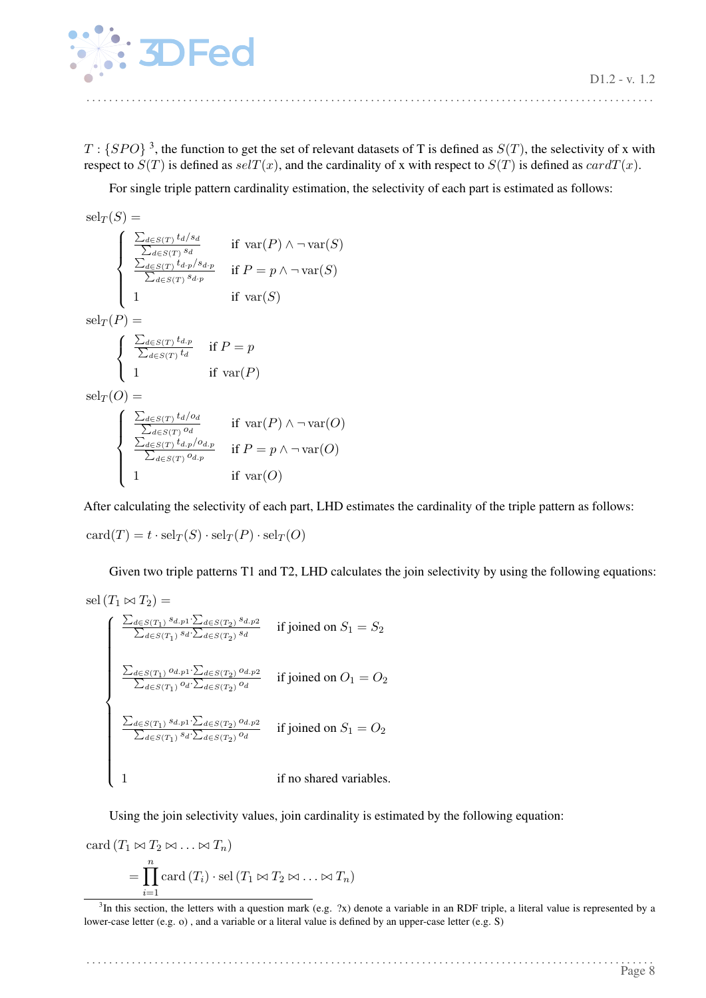

 $T: {SPO}$ <sup>[3](#page-8-0)</sup>, the function to get the set of relevant datasets of T is defined as  $S(T)$ , the selectivity of x with respect to  $S(T)$  is defined as  $self(x)$ , and the cardinality of x with respect to  $S(T)$  is defined as  $cardT(x)$ .

. . . . . . . . . . . . . . . . . . . . . . . . . . . . . . . . . . . . . . . . . . . . . . . . . . . . . . . . . . . . . . . . . . . . . . . . . . . . . . . . . . . . . . . . . . . . . . . . . . . .

For single triple pattern cardinality estimation, the selectivity of each part is estimated as follows:

$$
\mathrm{sel}_{T}(S) = \left\{ \begin{array}{ll} \frac{\sum_{d \in S(T)} t_{d} / s_{d}}{\sum_{d \in S(T)} s_{d}} & \text{if } \mathrm{var}(P) \land \neg \mathrm{var}(S) \\ \frac{\sum_{d \in S(T)} t_{d} / s_{d} p}{\sum_{d \in S(T)} s_{d} / p} & \text{if } P = p \land \neg \mathrm{var}(S) \\ 1 & \text{if } \mathrm{var}(S) \end{array} \right.
$$
\n
$$
\mathrm{sel}_{T}(P) = \left\{ \begin{array}{ll} \frac{\sum_{d \in S(T)} t_{d} p}{\sum_{d \in S(T)} t_{d}} & \text{if } P = p \\ 1 & \text{if } \mathrm{var}(P) \end{array} \right.
$$
\n
$$
\mathrm{sel}_{T}(O) = \left\{ \begin{array}{ll} \frac{\sum_{d \in S(T)} t_{d} / o_{d}}{\sum_{d \in S(T)} o_{d}} & \text{if } \mathrm{var}(P) \land \neg \mathrm{var}(O) \\ \frac{\sum_{d \in S(T)} t_{d} / o_{d} p}{\sum_{d \in S(T)} o_{d} / p} & \text{if } P = p \land \neg \mathrm{var}(O) \\ 1 & \text{if } \mathrm{var}(O) \end{array} \right.
$$

After calculating the selectivity of each part, LHD estimates the cardinality of the triple pattern as follows:

 $card(T) = t \cdot sel_T(S) \cdot sel_T(P) \cdot sel_T(O)$ 

Given two triple patterns T1 and T2, LHD calculates the join selectivity by using the following equations:

sel 
$$
(T_1 \bowtie T_2)
$$
 =  
\n
$$
\begin{cases}\n\frac{\sum_{d \in S(T_1)} s_{d,p1} \cdot \sum_{d \in S(T_2)} s_{d,p2}}{\sum_{d \in S(T_1)} s_{d} \cdot \sum_{d \in S(T_2)} s_{d}} & \text{if joined on } S_1 = S_2 \\
\frac{\sum_{d \in S(T_1)} o_{d,p1} \cdot \sum_{d \in S(T_2)} o_{d,p2}}{\sum_{d \in S(T_1)} o_{d} \cdot \sum_{d \in S(T_2)} o_{d}} & \text{if joined on } O_1 = O_2 \\
\frac{\sum_{d \in S(T_1)} s_{d,p1} \cdot \sum_{d \in S(T_2)} o_{d,p2}}{\sum_{d \in S(T_1)} s_{d} \cdot \sum_{d \in S(T_2)} o_{d}} & \text{if joined on } S_1 = O_2 \\
1 & \text{if no shared variables.} \n\end{cases}
$$

Using the join selectivity values, join cardinality is estimated by the following equation:

card 
$$
(T_1 \bowtie T_2 \bowtie ... \bowtie T_n)
$$
  
=  $\prod_{i=1}^n$  card  $(T_i) \cdot$  sel  $(T_1 \bowtie T_2 \bowtie ... \bowtie T_n)$ 

<span id="page-8-0"></span> $3$ In this section, the letters with a question mark (e.g.  $2x$ ) denote a variable in an RDF triple, a literal value is represented by a lower-case letter (e.g. o) , and a variable or a literal value is defined by an upper-case letter (e.g. S)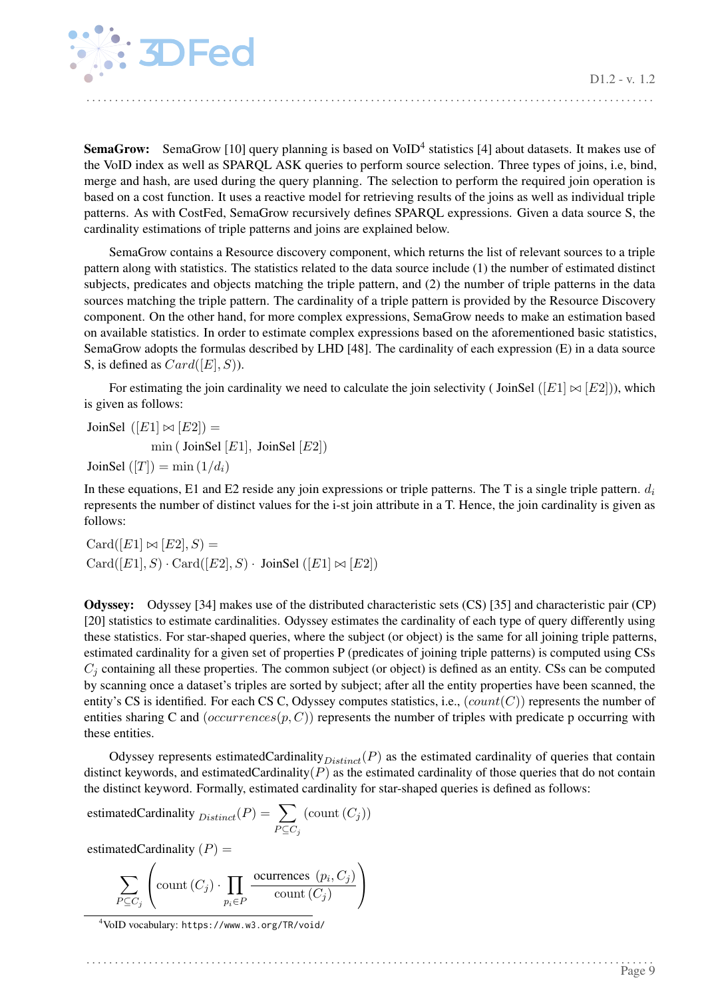

**SemaGrow:** SemaGrow [\[10\]](#page-15-9) query planning is based on VoID<sup>[4](#page-9-0)</sup> statistics [\[4\]](#page-15-12) about datasets. It makes use of the VoID index as well as SPARQL ASK queries to perform source selection. Three types of joins, i.e, bind, merge and hash, are used during the query planning. The selection to perform the required join operation is based on a cost function. It uses a reactive model for retrieving results of the joins as well as individual triple patterns. As with CostFed, SemaGrow recursively defines SPARQL expressions. Given a data source S, the cardinality estimations of triple patterns and joins are explained below.

SemaGrow contains a Resource discovery component, which returns the list of relevant sources to a triple pattern along with statistics. The statistics related to the data source include (1) the number of estimated distinct subjects, predicates and objects matching the triple pattern, and (2) the number of triple patterns in the data sources matching the triple pattern. The cardinality of a triple pattern is provided by the Resource Discovery component. On the other hand, for more complex expressions, SemaGrow needs to make an estimation based on available statistics. In order to estimate complex expressions based on the aforementioned basic statistics, SemaGrow adopts the formulas described by LHD [\[48\]](#page-17-8). The cardinality of each expression (E) in a data source S, is defined as  $Card([E], S)$ ).

For estimating the join cardinality we need to calculate the join selectivity (JoinSel ( $[E1] \bowtie [E2]$ )), which is given as follows:

JoinSel  $([E1] \bowtie [E2]) =$ min ( JoinSel  $[E1]$ , JoinSel  $[E2]$ ) JoinSel  $([T]) = \min(1/d_i)$ 

In these equations, E1 and E2 reside any join expressions or triple patterns. The T is a single triple pattern.  $d_i$ represents the number of distinct values for the i-st join attribute in a T. Hence, the join cardinality is given as follows:

$$
Card([E1] \bowtie [E2], S) =
$$

$$
Card([E1], S) \cdot Card([E2], S) \cdot JoinSel ([E1] \bowtie [E2])
$$

Odyssey: Odyssey [\[34\]](#page-16-9) makes use of the distributed characteristic sets (CS) [\[35\]](#page-16-11) and characteristic pair (CP) [\[20\]](#page-15-13) statistics to estimate cardinalities. Odyssey estimates the cardinality of each type of query differently using these statistics. For star-shaped queries, where the subject (or object) is the same for all joining triple patterns, estimated cardinality for a given set of properties P (predicates of joining triple patterns) is computed using CSs  $C_i$  containing all these properties. The common subject (or object) is defined as an entity. CSs can be computed by scanning once a dataset's triples are sorted by subject; after all the entity properties have been scanned, the entity's CS is identified. For each CS C, Odyssey computes statistics, i.e.,  $(count(C))$  represents the number of entities sharing C and  $(occurrences(p, C))$  represents the number of triples with predicate p occurring with these entities.

Odyssey represents estimatedCardinality $_{Distinct}(P)$  as the estimated cardinality of queries that contain distinct keywords, and estimatedCardinality $(P)$  as the estimated cardinality of those queries that do not contain the distinct keyword. Formally, estimated cardinality for star-shaped queries is defined as follows:

estimatedCardinality  $_{Distinct}(P) = \sum$  $P \subseteq C_j$  $(\text{count}(C_j))$ 

estimatedCardinality  $(P)$  =

$$
\sum_{P \subseteq C_j} \left( \text{count}(C_j) \cdot \prod_{p_i \in P} \frac{\text{occurrences}(p_i, C_j)}{\text{count}(C_j)} \right)
$$

. . . . . . . . . . . . . . . . . . . . . . . . . . . . . . . . . . . . . . . . . . . . . . . . . . . . . . . . . . . . . . . . . . . . . . . . . . . . . . . . . . . . . . . . . . . . . . . . . . . .

<span id="page-9-0"></span><sup>4</sup>VoID vocabulary: <https://www.w3.org/TR/void/>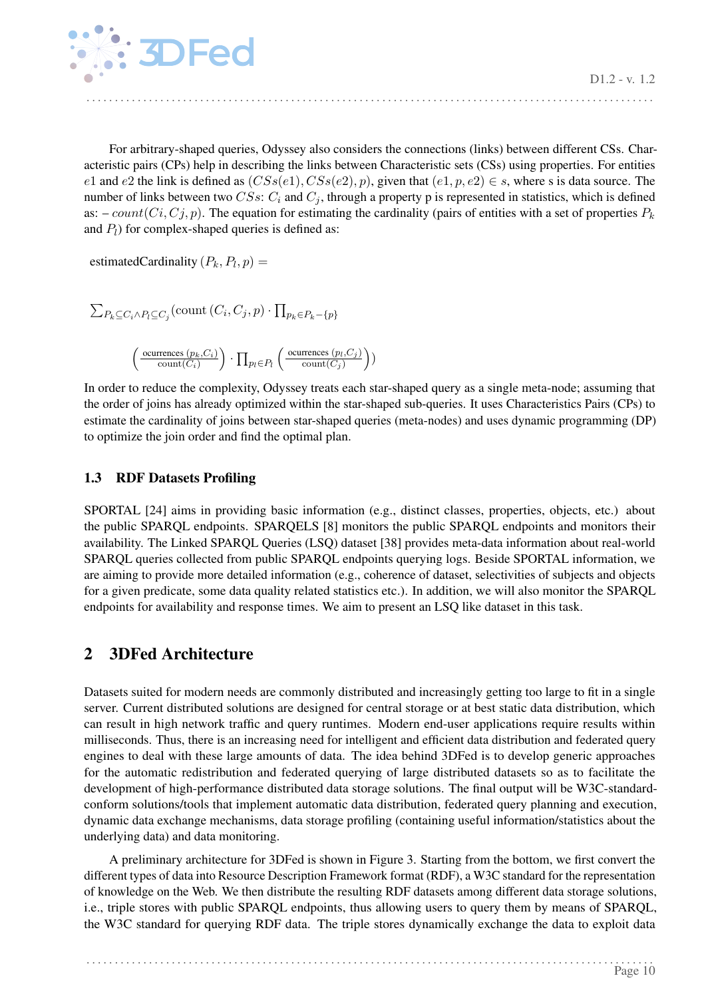

For arbitrary-shaped queries, Odyssey also considers the connections (links) between different CSs. Characteristic pairs (CPs) help in describing the links between Characteristic sets (CSs) using properties. For entities e1 and e2 the link is defined as  $(CSs(e1), CSs(e2), p)$ , given that  $(e1, p, e2) \in s$ , where s is data source. The number of links between two  $CSS: C_i$  and  $C_j$ , through a property p is represented in statistics, which is defined as:  $-count(Ci, Cj, p)$ . The equation for estimating the cardinality (pairs of entities with a set of properties  $P_k$ and  $P_l$ ) for complex-shaped queries is defined as:

. . . . . . . . . . . . . . . . . . . . . . . . . . . . . . . . . . . . . . . . . . . . . . . . . . . . . . . . . . . . . . . . . . . . . . . . . . . . . . . . . . . . . . . . . . . . . . . . . . . .

estimatedCardinality  $(P_k, P_l, p) =$ 

$$
\sum_{P_k \subseteq C_i \land P_l \subseteq C_j} (\text{count}(C_i, C_j, p) \cdot \prod_{p_k \in P_k - \{p\}} \cdot \prod_{\text{current} \in P_l} \left( \frac{\text{occiveness}(p_k, C_i)}{\text{count}(C_i)} \right) \cdot \prod_{p_l \in P_l} \left( \frac{\text{occurrences}(p_l, C_j)}{\text{count}(C_j)} \right)
$$

In order to reduce the complexity, Odyssey treats each star-shaped query as a single meta-node; assuming that the order of joins has already optimized within the star-shaped sub-queries. It uses Characteristics Pairs (CPs) to estimate the cardinality of joins between star-shaped queries (meta-nodes) and uses dynamic programming (DP) to optimize the join order and find the optimal plan.

)

## <span id="page-10-0"></span>1.3 RDF Datasets Profiling

SPORTAL [\[24\]](#page-16-12) aims in providing basic information (e.g., distinct classes, properties, objects, etc.) about the public SPARQL endpoints. SPARQELS [\[8\]](#page-15-14) monitors the public SPARQL endpoints and monitors their availability. The Linked SPARQL Queries (LSQ) dataset [\[38\]](#page-17-9) provides meta-data information about real-world SPARQL queries collected from public SPARQL endpoints querying logs. Beside SPORTAL information, we are aiming to provide more detailed information (e.g., coherence of dataset, selectivities of subjects and objects for a given predicate, some data quality related statistics etc.). In addition, we will also monitor the SPARQL endpoints for availability and response times. We aim to present an LSQ like dataset in this task.

## <span id="page-10-1"></span>2 3DFed Architecture

Datasets suited for modern needs are commonly distributed and increasingly getting too large to fit in a single server. Current distributed solutions are designed for central storage or at best static data distribution, which can result in high network traffic and query runtimes. Modern end-user applications require results within milliseconds. Thus, there is an increasing need for intelligent and efficient data distribution and federated query engines to deal with these large amounts of data. The idea behind 3DFed is to develop generic approaches for the automatic redistribution and federated querying of large distributed datasets so as to facilitate the development of high-performance distributed data storage solutions. The final output will be W3C-standardconform solutions/tools that implement automatic data distribution, federated query planning and execution, dynamic data exchange mechanisms, data storage profiling (containing useful information/statistics about the underlying data) and data monitoring.

A preliminary architecture for 3DFed is shown in Figure [3.](#page-11-2) Starting from the bottom, we first convert the different types of data into Resource Description Framework format (RDF), a W3C standard for the representation of knowledge on the Web. We then distribute the resulting RDF datasets among different data storage solutions, i.e., triple stores with public SPARQL endpoints, thus allowing users to query them by means of SPARQL, the W3C standard for querying RDF data. The triple stores dynamically exchange the data to exploit data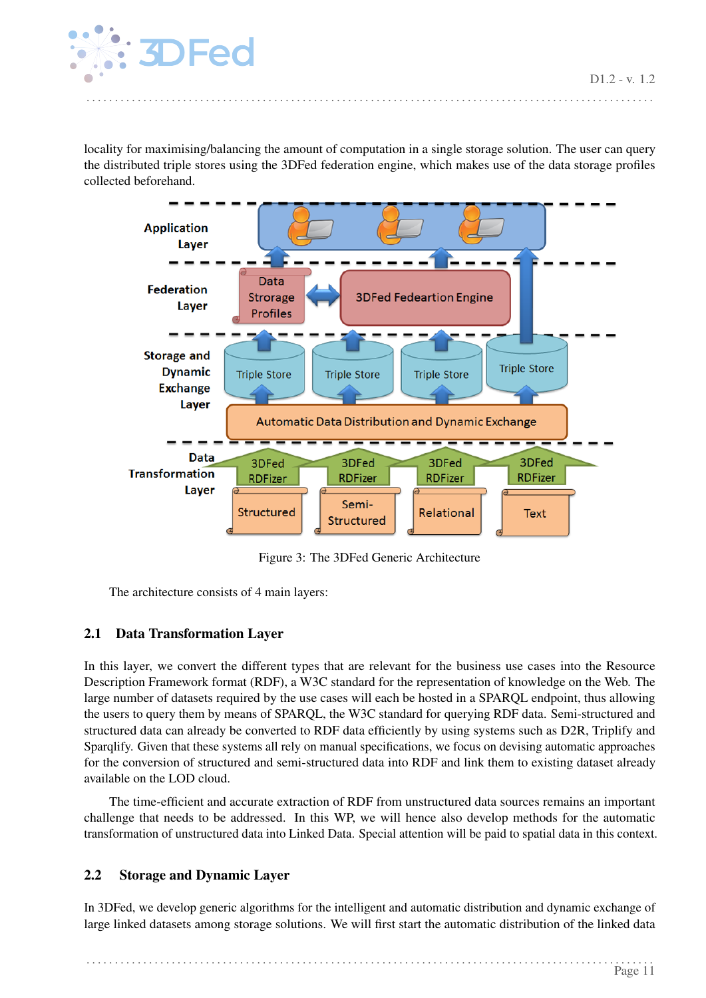

locality for maximising/balancing the amount of computation in a single storage solution. The user can query the distributed triple stores using the 3DFed federation engine, which makes use of the data storage profiles collected beforehand.

. . . . . . . . . . . . . . . . . . . . . . . . . . . . . . . . . . . . . . . . . . . . . . . . . . . . . . . . . . . . . . . . . . . . . . . . . . . . . . . . . . . . . . . . . . . . . . . . . . . .

<span id="page-11-2"></span>

Figure 3: The 3DFed Generic Architecture

The architecture consists of 4 main layers:

## <span id="page-11-0"></span>2.1 Data Transformation Layer

In this layer, we convert the different types that are relevant for the business use cases into the Resource Description Framework format (RDF), a W3C standard for the representation of knowledge on the Web. The large number of datasets required by the use cases will each be hosted in a SPARQL endpoint, thus allowing the users to query them by means of SPARQL, the W3C standard for querying RDF data. Semi-structured and structured data can already be converted to RDF data efficiently by using systems such as D2R, Triplify and Sparqlify. Given that these systems all rely on manual specifications, we focus on devising automatic approaches for the conversion of structured and semi-structured data into RDF and link them to existing dataset already available on the LOD cloud.

The time-efficient and accurate extraction of RDF from unstructured data sources remains an important challenge that needs to be addressed. In this WP, we will hence also develop methods for the automatic transformation of unstructured data into Linked Data. Special attention will be paid to spatial data in this context.

## <span id="page-11-1"></span>2.2 Storage and Dynamic Layer

In 3DFed, we develop generic algorithms for the intelligent and automatic distribution and dynamic exchange of large linked datasets among storage solutions. We will first start the automatic distribution of the linked data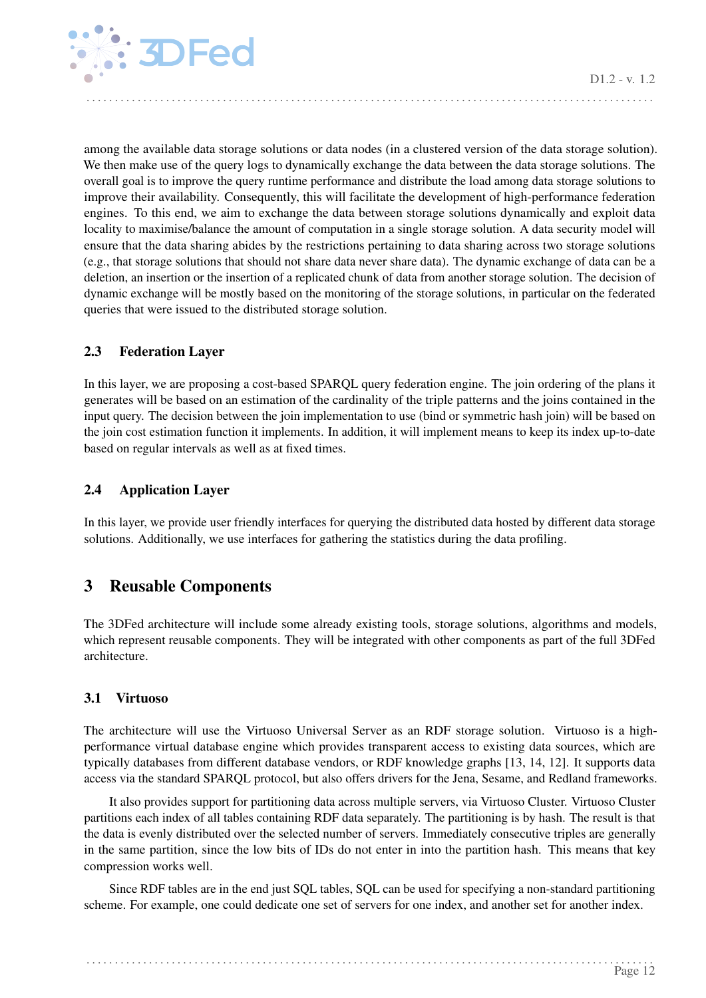![](_page_12_Picture_0.jpeg)

among the available data storage solutions or data nodes (in a clustered version of the data storage solution). We then make use of the query logs to dynamically exchange the data between the data storage solutions. The overall goal is to improve the query runtime performance and distribute the load among data storage solutions to improve their availability. Consequently, this will facilitate the development of high-performance federation engines. To this end, we aim to exchange the data between storage solutions dynamically and exploit data locality to maximise/balance the amount of computation in a single storage solution. A data security model will ensure that the data sharing abides by the restrictions pertaining to data sharing across two storage solutions (e.g., that storage solutions that should not share data never share data). The dynamic exchange of data can be a deletion, an insertion or the insertion of a replicated chunk of data from another storage solution. The decision of dynamic exchange will be mostly based on the monitoring of the storage solutions, in particular on the federated queries that were issued to the distributed storage solution.

. . . . . . . . . . . . . . . . . . . . . . . . . . . . . . . . . . . . . . . . . . . . . . . . . . . . . . . . . . . . . . . . . . . . . . . . . . . . . . . . . . . . . . . . . . . . . . . . . . . .

## <span id="page-12-0"></span>2.3 Federation Layer

In this layer, we are proposing a cost-based SPARQL query federation engine. The join ordering of the plans it generates will be based on an estimation of the cardinality of the triple patterns and the joins contained in the input query. The decision between the join implementation to use (bind or symmetric hash join) will be based on the join cost estimation function it implements. In addition, it will implement means to keep its index up-to-date based on regular intervals as well as at fixed times.

## <span id="page-12-1"></span>2.4 Application Layer

In this layer, we provide user friendly interfaces for querying the distributed data hosted by different data storage solutions. Additionally, we use interfaces for gathering the statistics during the data profiling.

## <span id="page-12-2"></span>3 Reusable Components

The 3DFed architecture will include some already existing tools, storage solutions, algorithms and models, which represent reusable components. They will be integrated with other components as part of the full 3DFed architecture.

## <span id="page-12-3"></span>3.1 Virtuoso

The architecture will use the Virtuoso Universal Server as an RDF storage solution. Virtuoso is a highperformance virtual database engine which provides transparent access to existing data sources, which are typically databases from different database vendors, or RDF knowledge graphs [\[13,](#page-15-15) [14,](#page-15-7) [12\]](#page-15-16). It supports data access via the standard SPARQL protocol, but also offers drivers for the Jena, Sesame, and Redland frameworks.

It also provides support for partitioning data across multiple servers, via Virtuoso Cluster. Virtuoso Cluster partitions each index of all tables containing RDF data separately. The partitioning is by hash. The result is that the data is evenly distributed over the selected number of servers. Immediately consecutive triples are generally in the same partition, since the low bits of IDs do not enter in into the partition hash. This means that key compression works well.

Since RDF tables are in the end just SQL tables, SQL can be used for specifying a non-standard partitioning scheme. For example, one could dedicate one set of servers for one index, and another set for another index.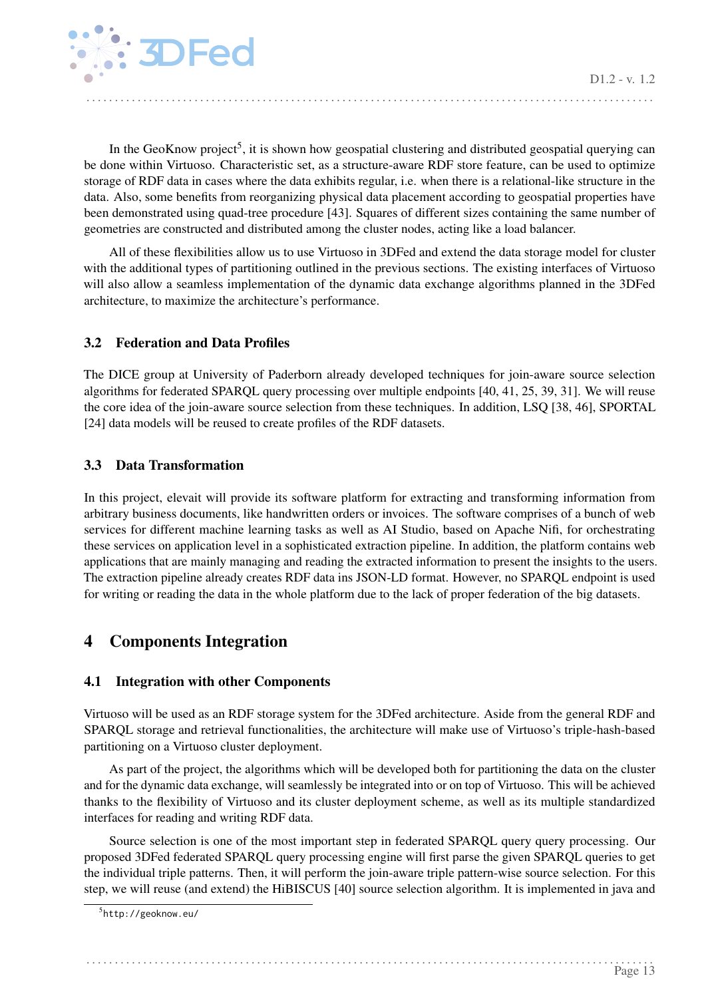![](_page_13_Picture_0.jpeg)

In the GeoKnow project<sup>[5](#page-13-4)</sup>, it is shown how geospatial clustering and distributed geospatial querying can be done within Virtuoso. Characteristic set, as a structure-aware RDF store feature, can be used to optimize storage of RDF data in cases where the data exhibits regular, i.e. when there is a relational-like structure in the data. Also, some benefits from reorganizing physical data placement according to geospatial properties have been demonstrated using quad-tree procedure [\[43\]](#page-17-10). Squares of different sizes containing the same number of geometries are constructed and distributed among the cluster nodes, acting like a load balancer.

. . . . . . . . . . . . . . . . . . . . . . . . . . . . . . . . . . . . . . . . . . . . . . . . . . . . . . . . . . . . . . . . . . . . . . . . . . . . . . . . . . . . . . . . . . . . . . . . . . . .

All of these flexibilities allow us to use Virtuoso in 3DFed and extend the data storage model for cluster with the additional types of partitioning outlined in the previous sections. The existing interfaces of Virtuoso will also allow a seamless implementation of the dynamic data exchange algorithms planned in the 3DFed architecture, to maximize the architecture's performance.

## <span id="page-13-0"></span>3.2 Federation and Data Profiles

The DICE group at University of Paderborn already developed techniques for join-aware source selection algorithms for federated SPARQL query processing over multiple endpoints [\[40,](#page-17-11) [41,](#page-17-12) [25,](#page-16-13) [39,](#page-17-13) [31\]](#page-16-14). We will reuse the core idea of the join-aware source selection from these techniques. In addition, LSQ [\[38,](#page-17-9) [46\]](#page-17-14), SPORTAL [\[24\]](#page-16-12) data models will be reused to create profiles of the RDF datasets.

## <span id="page-13-1"></span>3.3 Data Transformation

In this project, elevait will provide its software platform for extracting and transforming information from arbitrary business documents, like handwritten orders or invoices. The software comprises of a bunch of web services for different machine learning tasks as well as AI Studio, based on Apache Nifi, for orchestrating these services on application level in a sophisticated extraction pipeline. In addition, the platform contains web applications that are mainly managing and reading the extracted information to present the insights to the users. The extraction pipeline already creates RDF data ins JSON-LD format. However, no SPARQL endpoint is used for writing or reading the data in the whole platform due to the lack of proper federation of the big datasets.

## <span id="page-13-2"></span>4 Components Integration

## <span id="page-13-3"></span>4.1 Integration with other Components

Virtuoso will be used as an RDF storage system for the 3DFed architecture. Aside from the general RDF and SPARQL storage and retrieval functionalities, the architecture will make use of Virtuoso's triple-hash-based partitioning on a Virtuoso cluster deployment.

As part of the project, the algorithms which will be developed both for partitioning the data on the cluster and for the dynamic data exchange, will seamlessly be integrated into or on top of Virtuoso. This will be achieved thanks to the flexibility of Virtuoso and its cluster deployment scheme, as well as its multiple standardized interfaces for reading and writing RDF data.

Source selection is one of the most important step in federated SPARQL query query processing. Our proposed 3DFed federated SPARQL query processing engine will first parse the given SPARQL queries to get the individual triple patterns. Then, it will perform the join-aware triple pattern-wise source selection. For this step, we will reuse (and extend) the HiBISCUS [\[40\]](#page-17-11) source selection algorithm. It is implemented in java and

<span id="page-13-4"></span><sup>5</sup> <http://geoknow.eu/>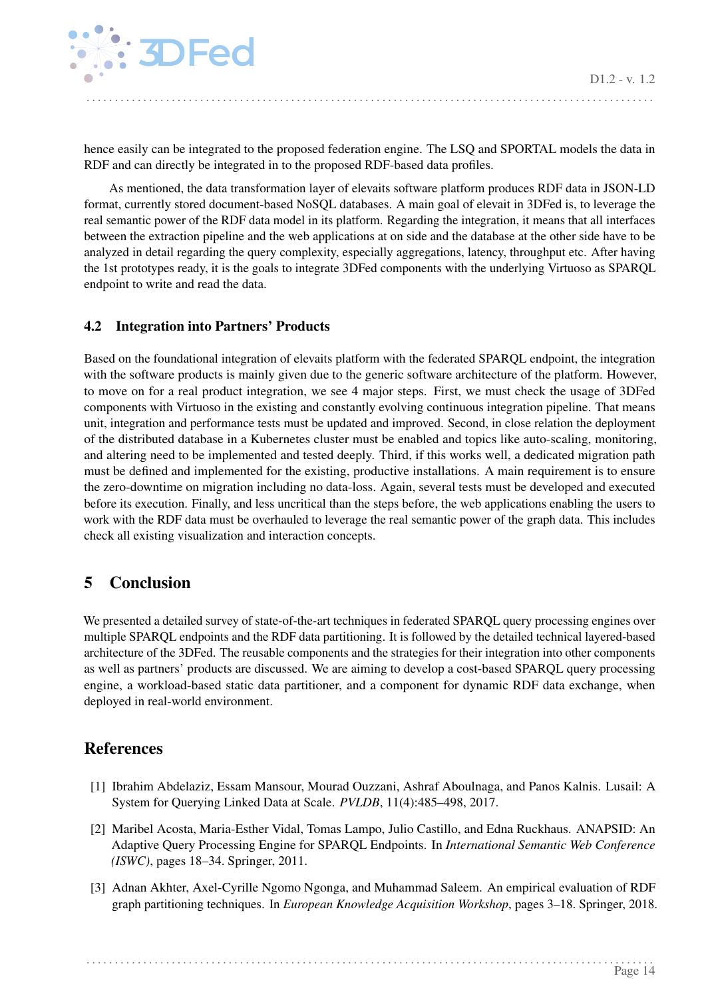![](_page_14_Picture_1.jpeg)

hence easily can be integrated to the proposed federation engine. The LSQ and SPORTAL models the data in RDF and can directly be integrated in to the proposed RDF-based data profiles.

As mentioned, the data transformation layer of elevaits software platform produces RDF data in JSON-LD format, currently stored document-based NoSQL databases. A main goal of elevait in 3DFed is, to leverage the real semantic power of the RDF data model in its platform. Regarding the integration, it means that all interfaces between the extraction pipeline and the web applications at on side and the database at the other side have to be analyzed in detail regarding the query complexity, especially aggregations, latency, throughput etc. After having the 1st prototypes ready, it is the goals to integrate 3DFed components with the underlying Virtuoso as SPARQL endpoint to write and read the data.

## <span id="page-14-0"></span>4.2 Integration into Partners' Products

Based on the foundational integration of elevaits platform with the federated SPARQL endpoint, the integration with the software products is mainly given due to the generic software architecture of the platform. However, to move on for a real product integration, we see 4 major steps. First, we must check the usage of 3DFed components with Virtuoso in the existing and constantly evolving continuous integration pipeline. That means unit, integration and performance tests must be updated and improved. Second, in close relation the deployment of the distributed database in a Kubernetes cluster must be enabled and topics like auto-scaling, monitoring, and altering need to be implemented and tested deeply. Third, if this works well, a dedicated migration path must be defined and implemented for the existing, productive installations. A main requirement is to ensure the zero-downtime on migration including no data-loss. Again, several tests must be developed and executed before its execution. Finally, and less uncritical than the steps before, the web applications enabling the users to work with the RDF data must be overhauled to leverage the real semantic power of the graph data. This includes check all existing visualization and interaction concepts.

## <span id="page-14-1"></span>5 Conclusion

We presented a detailed survey of state-of-the-art techniques in federated SPARQL query processing engines over multiple SPARQL endpoints and the RDF data partitioning. It is followed by the detailed technical layered-based architecture of the 3DFed. The reusable components and the strategies for their integration into other components as well as partners' products are discussed. We are aiming to develop a cost-based SPARQL query processing engine, a workload-based static data partitioner, and a component for dynamic RDF data exchange, when deployed in real-world environment.

## References

- <span id="page-14-4"></span>[1] Ibrahim Abdelaziz, Essam Mansour, Mourad Ouzzani, Ashraf Aboulnaga, and Panos Kalnis. Lusail: A System for Querying Linked Data at Scale. *PVLDB*, 11(4):485–498, 2017.
- <span id="page-14-3"></span>[2] Maribel Acosta, Maria-Esther Vidal, Tomas Lampo, Julio Castillo, and Edna Ruckhaus. ANAPSID: An Adaptive Query Processing Engine for SPARQL Endpoints. In *International Semantic Web Conference (ISWC)*, pages 18–34. Springer, 2011.
- <span id="page-14-2"></span>[3] Adnan Akhter, Axel-Cyrille Ngomo Ngonga, and Muhammad Saleem. An empirical evaluation of RDF graph partitioning techniques. In *European Knowledge Acquisition Workshop*, pages 3–18. Springer, 2018.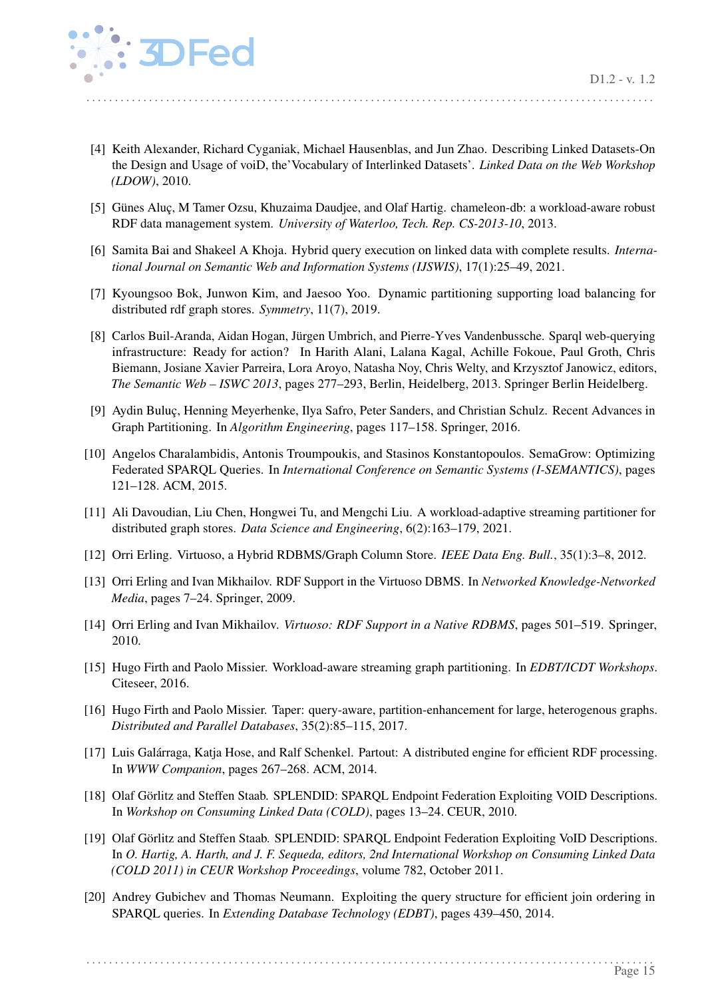![](_page_15_Picture_1.jpeg)

<span id="page-15-12"></span>[4] Keith Alexander, Richard Cyganiak, Michael Hausenblas, and Jun Zhao. Describing Linked Datasets-On the Design and Usage of voiD, the'Vocabulary of Interlinked Datasets'. *Linked Data on the Web Workshop (LDOW)*, 2010.

- <span id="page-15-2"></span>[5] Günes Aluç, M Tamer Ozsu, Khuzaima Daudjee, and Olaf Hartig. chameleon-db: a workload-aware robust RDF data management system. *University of Waterloo, Tech. Rep. CS-2013-10*, 2013.
- <span id="page-15-10"></span>[6] Samita Bai and Shakeel A Khoja. Hybrid query execution on linked data with complete results. *International Journal on Semantic Web and Information Systems (IJSWIS)*, 17(1):25–49, 2021.
- <span id="page-15-3"></span>[7] Kyoungsoo Bok, Junwon Kim, and Jaesoo Yoo. Dynamic partitioning supporting load balancing for distributed rdf graph stores. *Symmetry*, 11(7), 2019.
- <span id="page-15-14"></span>[8] Carlos Buil-Aranda, Aidan Hogan, Jürgen Umbrich, and Pierre-Yves Vandenbussche. Sparql web-querying infrastructure: Ready for action? In Harith Alani, Lalana Kagal, Achille Fokoue, Paul Groth, Chris Biemann, Josiane Xavier Parreira, Lora Aroyo, Natasha Noy, Chris Welty, and Krzysztof Janowicz, editors, *The Semantic Web – ISWC 2013*, pages 277–293, Berlin, Heidelberg, 2013. Springer Berlin Heidelberg.
- <span id="page-15-0"></span>[9] Aydin Buluç, Henning Meyerhenke, Ilya Safro, Peter Sanders, and Christian Schulz. Recent Advances in Graph Partitioning. In *Algorithm Engineering*, pages 117–158. Springer, 2016.
- <span id="page-15-9"></span>[10] Angelos Charalambidis, Antonis Troumpoukis, and Stasinos Konstantopoulos. SemaGrow: Optimizing Federated SPARQL Queries. In *International Conference on Semantic Systems (I-SEMANTICS)*, pages 121–128. ACM, 2015.
- <span id="page-15-4"></span>[11] Ali Davoudian, Liu Chen, Hongwei Tu, and Mengchi Liu. A workload-adaptive streaming partitioner for distributed graph stores. *Data Science and Engineering*, 6(2):163–179, 2021.
- <span id="page-15-16"></span>[12] Orri Erling. Virtuoso, a Hybrid RDBMS/Graph Column Store. *IEEE Data Eng. Bull.*, 35(1):3–8, 2012.
- <span id="page-15-15"></span>[13] Orri Erling and Ivan Mikhailov. RDF Support in the Virtuoso DBMS. In *Networked Knowledge-Networked Media*, pages 7–24. Springer, 2009.
- <span id="page-15-7"></span>[14] Orri Erling and Ivan Mikhailov. *Virtuoso: RDF Support in a Native RDBMS*, pages 501–519. Springer, 2010.
- <span id="page-15-5"></span>[15] Hugo Firth and Paolo Missier. Workload-aware streaming graph partitioning. In *EDBT/ICDT Workshops*. Citeseer, 2016.
- <span id="page-15-6"></span>[16] Hugo Firth and Paolo Missier. Taper: query-aware, partition-enhancement for large, heterogenous graphs. *Distributed and Parallel Databases*, 35(2):85–115, 2017.
- <span id="page-15-1"></span>[17] Luis Galárraga, Katja Hose, and Ralf Schenkel. Partout: A distributed engine for efficient RDF processing. In *WWW Companion*, pages 267–268. ACM, 2014.
- <span id="page-15-11"></span>[18] Olaf Görlitz and Steffen Staab. SPLENDID: SPARQL Endpoint Federation Exploiting VOID Descriptions. In *Workshop on Consuming Linked Data (COLD)*, pages 13–24. CEUR, 2010.
- <span id="page-15-8"></span>[19] Olaf Görlitz and Steffen Staab. SPLENDID: SPARQL Endpoint Federation Exploiting VoID Descriptions. In *O. Hartig, A. Harth, and J. F. Sequeda, editors, 2nd International Workshop on Consuming Linked Data (COLD 2011) in CEUR Workshop Proceedings*, volume 782, October 2011.
- <span id="page-15-13"></span>[20] Andrey Gubichev and Thomas Neumann. Exploiting the query structure for efficient join ordering in SPARQL queries. In *Extending Database Technology (EDBT)*, pages 439–450, 2014.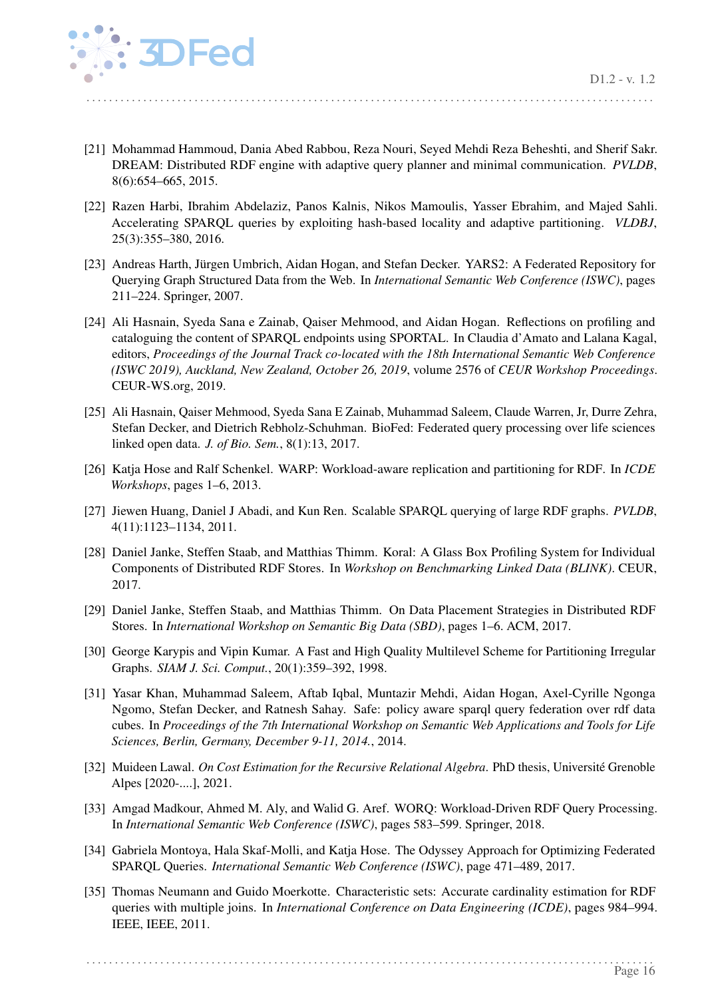![](_page_16_Picture_1.jpeg)

<span id="page-16-8"></span>[21] Mohammad Hammoud, Dania Abed Rabbou, Reza Nouri, Seyed Mehdi Reza Beheshti, and Sherif Sakr. DREAM: Distributed RDF engine with adaptive query planner and minimal communication. *PVLDB*, 8(6):654–665, 2015.

. . . . . . . . . . . . . . . . . . . . . . . . . . . . . . . . . . . . . . . . . . . . . . . . . . . . . . . . . . . . . . . . . . . . . . . . . . . . . . . . . . . . . . . . . . . . . . . . . . . .

- <span id="page-16-7"></span>[22] Razen Harbi, Ibrahim Abdelaziz, Panos Kalnis, Nikos Mamoulis, Yasser Ebrahim, and Majed Sahli. Accelerating SPARQL queries by exploiting hash-based locality and adaptive partitioning. *VLDBJ*, 25(3):355–380, 2016.
- <span id="page-16-1"></span>[23] Andreas Harth, Jürgen Umbrich, Aidan Hogan, and Stefan Decker. YARS2: A Federated Repository for Querying Graph Structured Data from the Web. In *International Semantic Web Conference (ISWC)*, pages 211–224. Springer, 2007.
- <span id="page-16-12"></span>[24] Ali Hasnain, Syeda Sana e Zainab, Qaiser Mehmood, and Aidan Hogan. Reflections on profiling and cataloguing the content of SPARQL endpoints using SPORTAL. In Claudia d'Amato and Lalana Kagal, editors, *Proceedings of the Journal Track co-located with the 18th International Semantic Web Conference (ISWC 2019), Auckland, New Zealand, October 26, 2019*, volume 2576 of *CEUR Workshop Proceedings*. CEUR-WS.org, 2019.
- <span id="page-16-13"></span>[25] Ali Hasnain, Qaiser Mehmood, Syeda Sana E Zainab, Muhammad Saleem, Claude Warren, Jr, Durre Zehra, Stefan Decker, and Dietrich Rebholz-Schuhman. BioFed: Federated query processing over life sciences linked open data. *J. of Bio. Sem.*, 8(1):13, 2017.
- <span id="page-16-5"></span>[26] Katja Hose and Ralf Schenkel. WARP: Workload-aware replication and partitioning for RDF. In *ICDE Workshops*, pages 1–6, 2013.
- <span id="page-16-3"></span>[27] Jiewen Huang, Daniel J Abadi, and Kun Ren. Scalable SPARQL querying of large RDF graphs. *PVLDB*, 4(11):1123–1134, 2011.
- <span id="page-16-4"></span>[28] Daniel Janke, Steffen Staab, and Matthias Thimm. Koral: A Glass Box Profiling System for Individual Components of Distributed RDF Stores. In *Workshop on Benchmarking Linked Data (BLINK)*. CEUR, 2017.
- <span id="page-16-0"></span>[29] Daniel Janke, Steffen Staab, and Matthias Thimm. On Data Placement Strategies in Distributed RDF Stores. In *International Workshop on Semantic Big Data (SBD)*, pages 1–6. ACM, 2017.
- <span id="page-16-2"></span>[30] George Karypis and Vipin Kumar. A Fast and High Quality Multilevel Scheme for Partitioning Irregular Graphs. *SIAM J. Sci. Comput.*, 20(1):359–392, 1998.
- <span id="page-16-14"></span>[31] Yasar Khan, Muhammad Saleem, Aftab Iqbal, Muntazir Mehdi, Aidan Hogan, Axel-Cyrille Ngonga Ngomo, Stefan Decker, and Ratnesh Sahay. Safe: policy aware sparql query federation over rdf data cubes. In *Proceedings of the 7th International Workshop on Semantic Web Applications and Tools for Life Sciences, Berlin, Germany, December 9-11, 2014.*, 2014.
- <span id="page-16-10"></span>[32] Muideen Lawal. *On Cost Estimation for the Recursive Relational Algebra*. PhD thesis, Université Grenoble Alpes [2020-....], 2021.
- <span id="page-16-6"></span>[33] Amgad Madkour, Ahmed M. Aly, and Walid G. Aref. WORQ: Workload-Driven RDF Query Processing. In *International Semantic Web Conference (ISWC)*, pages 583–599. Springer, 2018.
- <span id="page-16-9"></span>[34] Gabriela Montoya, Hala Skaf-Molli, and Katja Hose. The Odyssey Approach for Optimizing Federated SPARQL Queries. *International Semantic Web Conference (ISWC)*, page 471–489, 2017.
- <span id="page-16-11"></span>[35] Thomas Neumann and Guido Moerkotte. Characteristic sets: Accurate cardinality estimation for RDF queries with multiple joins. In *International Conference on Data Engineering (ICDE)*, pages 984–994. IEEE, IEEE, 2011.